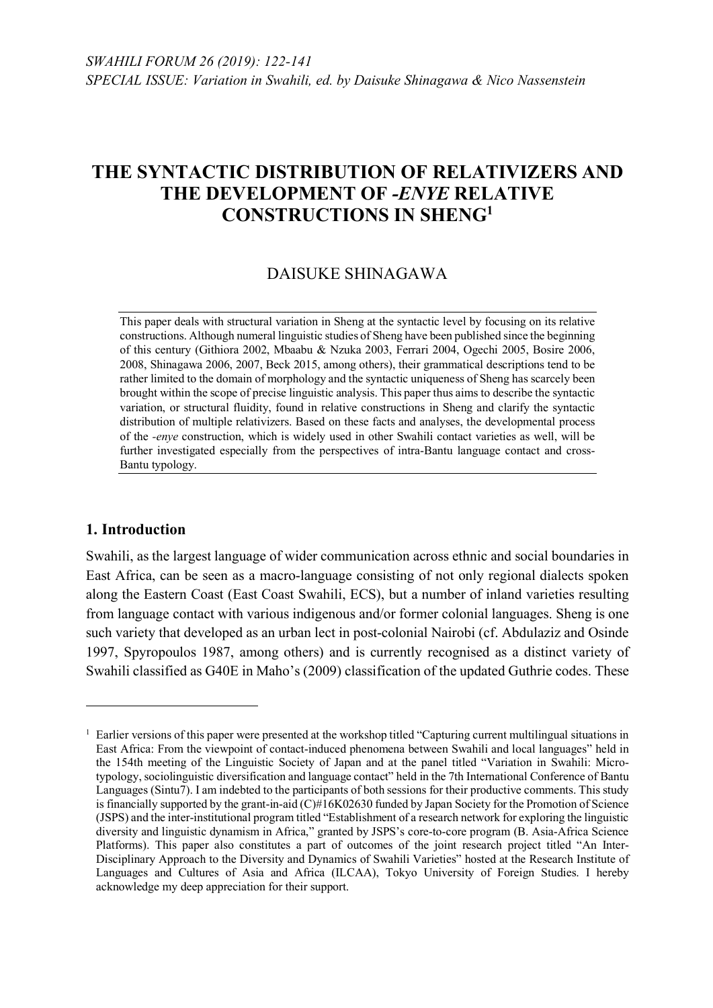# DAISUKE SHINAGAWA

This paper deals with structural variation in Sheng at the syntactic level by focusing on its relative constructions. Although numeral linguistic studies of Sheng have been published since the beginning of this century (Githiora 2002, Mbaabu & Nzuka 2003, Ferrari 2004, Ogechi 2005, Bosire 2006, 2008, Shinagawa 2006, 2007, Beck 2015, among others), their grammatical descriptions tend to be rather limited to the domain of morphology and the syntactic uniqueness of Sheng has scarcely been brought within the scope of precise linguistic analysis. This paper thus aims to describe the syntactic variation, or structural fluidity, found in relative constructions in Sheng and clarify the syntactic distribution of multiple relativizers. Based on these facts and analyses, the developmental process of the *-enye* construction, which is widely used in other Swahili contact varieties as well, will be further investigated especially from the perspectives of intra-Bantu language contact and cross-Bantu typology.

### **1. Introduction**

 $\overline{a}$ 

Swahili, as the largest language of wider communication across ethnic and social boundaries in East Africa, can be seen as a macro-language consisting of not only regional dialects spoken along the Eastern Coast (East Coast Swahili, ECS), but a number of inland varieties resulting from language contact with various indigenous and/or former colonial languages. Sheng is one such variety that developed as an urban lect in post-colonial Nairobi (cf. Abdulaziz and Osinde 1997, Spyropoulos 1987, among others) and is currently recognised as a distinct variety of Swahili classified as G40E in Maho's (2009) classification of the updated Guthrie codes. These

 $<sup>1</sup>$  Earlier versions of this paper were presented at the workshop titled "Capturing current multilingual situations in</sup> East Africa: From the viewpoint of contact-induced phenomena between Swahili and local languages" held in the 154th meeting of the Linguistic Society of Japan and at the panel titled "Variation in Swahili: Microtypology, sociolinguistic diversification and language contact" held in the 7th International Conference of Bantu Languages (Sintu7). I am indebted to the participants of both sessions for their productive comments. This study is financially supported by the grant-in-aid (C)#16K02630 funded by Japan Society for the Promotion of Science (JSPS) and the inter-institutional program titled "Establishment of a research network for exploring the linguistic diversity and linguistic dynamism in Africa," granted by JSPS's core-to-core program (B. Asia-Africa Science Platforms). This paper also constitutes a part of outcomes of the joint research project titled "An Inter-Disciplinary Approach to the Diversity and Dynamics of Swahili Varieties" hosted at the Research Institute of Languages and Cultures of Asia and Africa (ILCAA), Tokyo University of Foreign Studies. I hereby acknowledge my deep appreciation for their support.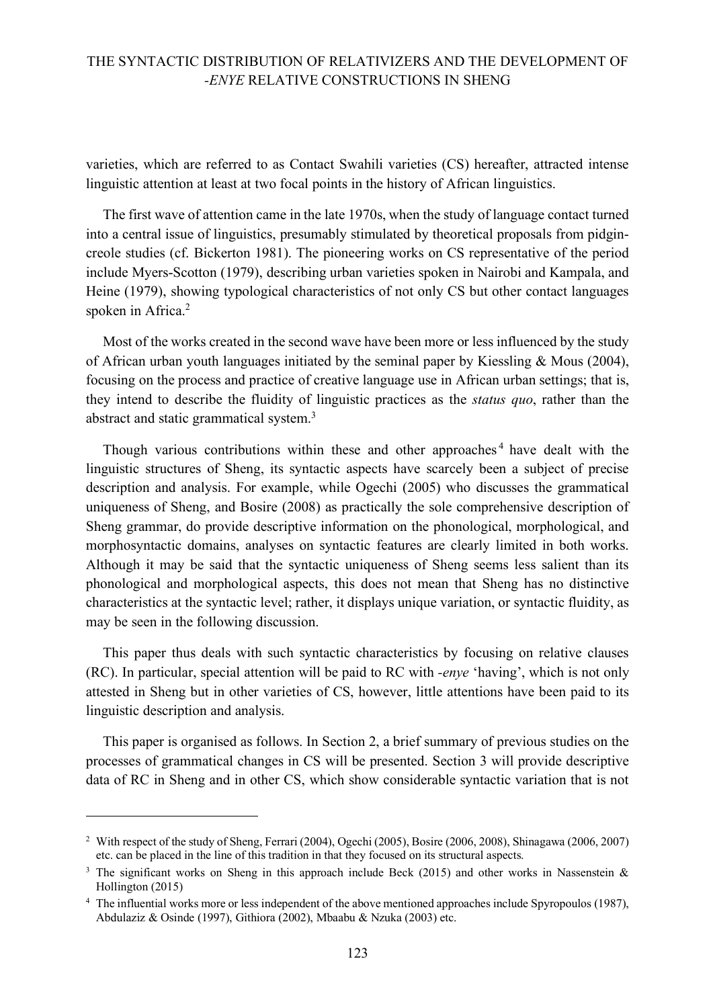varieties, which are referred to as Contact Swahili varieties (CS) hereafter, attracted intense linguistic attention at least at two focal points in the history of African linguistics.

The first wave of attention came in the late 1970s, when the study of language contact turned into a central issue of linguistics, presumably stimulated by theoretical proposals from pidgincreole studies (cf. Bickerton 1981). The pioneering works on CS representative of the period include Myers-Scotton (1979), describing urban varieties spoken in Nairobi and Kampala, and Heine (1979), showing typological characteristics of not only CS but other contact languages spoken in Africa.<sup>2</sup>

Most of the works created in the second wave have been more or less influenced by the study of African urban youth languages initiated by the seminal paper by Kiessling & Mous (2004), focusing on the process and practice of creative language use in African urban settings; that is, they intend to describe the fluidity of linguistic practices as the *status quo*, rather than the abstract and static grammatical system.<sup>3</sup>

Though various contributions within these and other approaches<sup>4</sup> have dealt with the linguistic structures of Sheng, its syntactic aspects have scarcely been a subject of precise description and analysis. For example, while Ogechi (2005) who discusses the grammatical uniqueness of Sheng, and Bosire (2008) as practically the sole comprehensive description of Sheng grammar, do provide descriptive information on the phonological, morphological, and morphosyntactic domains, analyses on syntactic features are clearly limited in both works. Although it may be said that the syntactic uniqueness of Sheng seems less salient than its phonological and morphological aspects, this does not mean that Sheng has no distinctive characteristics at the syntactic level; rather, it displays unique variation, or syntactic fluidity, as may be seen in the following discussion.

This paper thus deals with such syntactic characteristics by focusing on relative clauses (RC). In particular, special attention will be paid to RC with *-enye* 'having', which is not only attested in Sheng but in other varieties of CS, however, little attentions have been paid to its linguistic description and analysis.

This paper is organised as follows. In Section 2, a brief summary of previous studies on the processes of grammatical changes in CS will be presented. Section 3 will provide descriptive data of RC in Sheng and in other CS, which show considerable syntactic variation that is not

 $\overline{a}$ 

<sup>&</sup>lt;sup>2</sup> With respect of the study of Sheng, Ferrari (2004), Ogechi (2005), Bosire (2006, 2008), Shinagawa (2006, 2007) etc. can be placed in the line of this tradition in that they focused on its structural aspects.

<sup>&</sup>lt;sup>3</sup> The significant works on Sheng in this approach include Beck (2015) and other works in Nassenstein & Hollington (2015)

<sup>4</sup> The influential works more or less independent of the above mentioned approaches include Spyropoulos (1987), Abdulaziz & Osinde (1997), Githiora (2002), Mbaabu & Nzuka (2003) etc.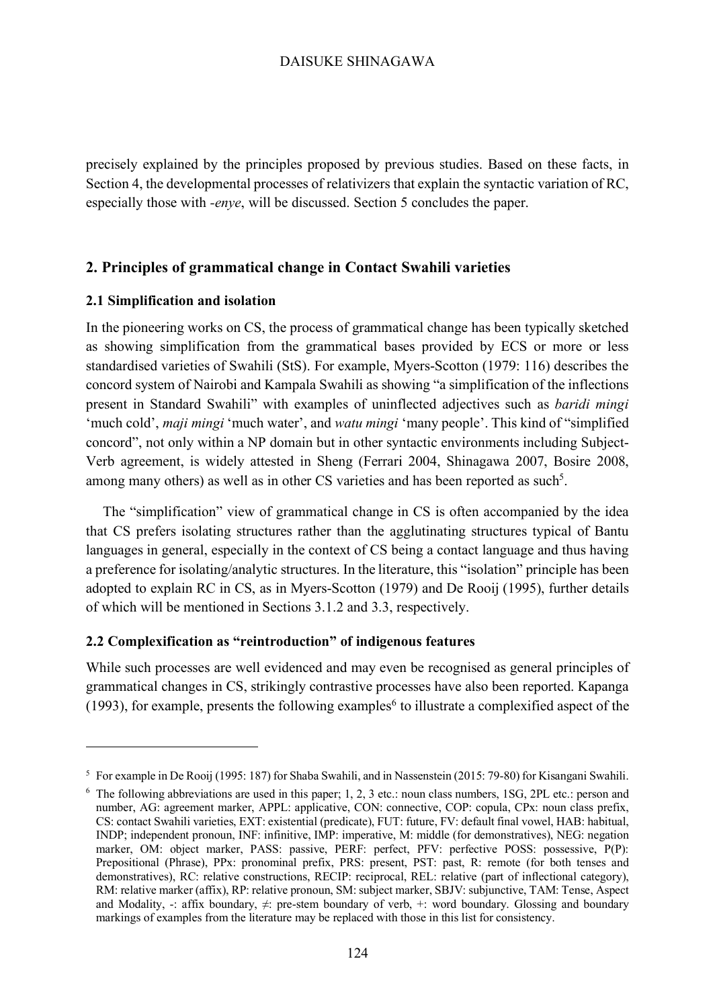precisely explained by the principles proposed by previous studies. Based on these facts, in Section 4, the developmental processes of relativizers that explain the syntactic variation of RC, especially those with *-enye*, will be discussed. Section 5 concludes the paper.

### **2. Principles of grammatical change in Contact Swahili varieties**

#### **2.1 Simplification and isolation**

 $\overline{a}$ 

In the pioneering works on CS, the process of grammatical change has been typically sketched as showing simplification from the grammatical bases provided by ECS or more or less standardised varieties of Swahili (StS). For example, Myers-Scotton (1979: 116) describes the concord system of Nairobi and Kampala Swahili as showing "a simplification of the inflections present in Standard Swahili" with examples of uninflected adjectives such as *baridi mingi* 'much cold', *maji mingi* 'much water', and *watu mingi* 'many people'. This kind of "simplified concord", not only within a NP domain but in other syntactic environments including Subject-Verb agreement, is widely attested in Sheng (Ferrari 2004, Shinagawa 2007, Bosire 2008, among many others) as well as in other CS varieties and has been reported as such<sup>5</sup>.

The "simplification" view of grammatical change in CS is often accompanied by the idea that CS prefers isolating structures rather than the agglutinating structures typical of Bantu languages in general, especially in the context of CS being a contact language and thus having a preference for isolating/analytic structures. In the literature, this "isolation" principle has been adopted to explain RC in CS, as in Myers-Scotton (1979) and De Rooij (1995), further details of which will be mentioned in Sections 3.1.2 and 3.3, respectively.

#### **2.2 Complexification as "reintroduction" of indigenous features**

While such processes are well evidenced and may even be recognised as general principles of grammatical changes in CS, strikingly contrastive processes have also been reported. Kapanga (1993), for example, presents the following examples<sup>6</sup> to illustrate a complexified aspect of the

<sup>5</sup> For example in De Rooij (1995: 187) for Shaba Swahili, and in Nassenstein (2015: 79-80) for Kisangani Swahili.

<sup>6</sup> The following abbreviations are used in this paper; 1, 2, 3 etc.: noun class numbers, 1SG, 2PL etc.: person and number, AG: agreement marker, APPL: applicative, CON: connective, COP: copula, CPx: noun class prefix, CS: contact Swahili varieties, EXT: existential (predicate), FUT: future, FV: default final vowel, HAB: habitual, INDP; independent pronoun, INF: infinitive, IMP: imperative, M: middle (for demonstratives), NEG: negation marker, OM: object marker, PASS: passive, PERF: perfect, PFV: perfective POSS: possessive, P(P): Prepositional (Phrase), PPx: pronominal prefix, PRS: present, PST: past, R: remote (for both tenses and demonstratives), RC: relative constructions, RECIP: reciprocal, REL: relative (part of inflectional category), RM: relative marker (affix), RP: relative pronoun, SM: subject marker, SBJV: subjunctive, TAM: Tense, Aspect and Modality, -: affix boundary,  $\neq$ : pre-stem boundary of verb, +: word boundary. Glossing and boundary markings of examples from the literature may be replaced with those in this list for consistency.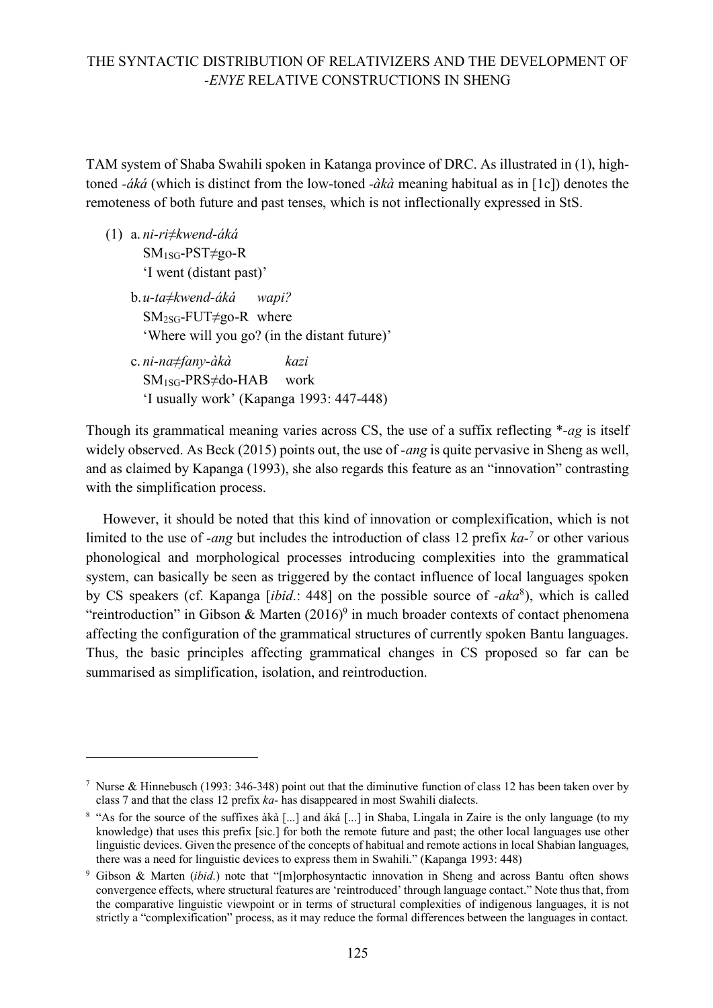TAM system of Shaba Swahili spoken in Katanga province of DRC. As illustrated in (1), hightoned *-áká* (which is distinct from the low-toned *-àkà* meaning habitual as in [1c]) denotes the remoteness of both future and past tenses, which is not inflectionally expressed in StS.

(1) a. *ni-ri≠kwend-áká* SM1SG-PST≠go-R 'I went (distant past)'

 $\overline{a}$ 

- b.*u-ta≠kwend-áká wapi?*  $SM<sub>2SG</sub>-FUT \neq go-R$  where 'Where will you go? (in the distant future)'
- c. *ni-na≠fany-àkà kazi* SM1SG-PRS≠do-HAB work 'I usually work' (Kapanga 1993: 447-448)

Though its grammatical meaning varies across CS, the use of a suffix reflecting \**-ag* is itself widely observed. As Beck (2015) points out, the use of *-ang* is quite pervasive in Sheng as well, and as claimed by Kapanga (1993), she also regards this feature as an "innovation" contrasting with the simplification process.

However, it should be noted that this kind of innovation or complexification, which is not limited to the use of *-ang* but includes the introduction of class 12 prefix *ka-<sup>7</sup>* or other various phonological and morphological processes introducing complexities into the grammatical system, can basically be seen as triggered by the contact influence of local languages spoken by CS speakers (cf. Kapanga [*ibid*.: 448] on the possible source of *-aka*8), which is called "reintroduction" in Gibson & Marten  $(2016)^9$  in much broader contexts of contact phenomena affecting the configuration of the grammatical structures of currently spoken Bantu languages. Thus, the basic principles affecting grammatical changes in CS proposed so far can be summarised as simplification, isolation, and reintroduction.

<sup>&</sup>lt;sup>7</sup> Nurse & Hinnebusch (1993: 346-348) point out that the diminutive function of class 12 has been taken over by class 7 and that the class 12 prefix *ka-* has disappeared in most Swahili dialects.

<sup>&</sup>lt;sup>8</sup> "As for the source of the suffixes àkà [...] and áká [...] in Shaba, Lingala in Zaire is the only language (to my knowledge) that uses this prefix [sic.] for both the remote future and past; the other local languages use other linguistic devices. Given the presence of the concepts of habitual and remote actions in local Shabian languages, there was a need for linguistic devices to express them in Swahili." (Kapanga 1993: 448)

<sup>9</sup> Gibson & Marten (*ibid*.) note that "[m]orphosyntactic innovation in Sheng and across Bantu often shows convergence effects, where structural features are 'reintroduced' through language contact." Note thus that, from the comparative linguistic viewpoint or in terms of structural complexities of indigenous languages, it is not strictly a "complexification" process, as it may reduce the formal differences between the languages in contact.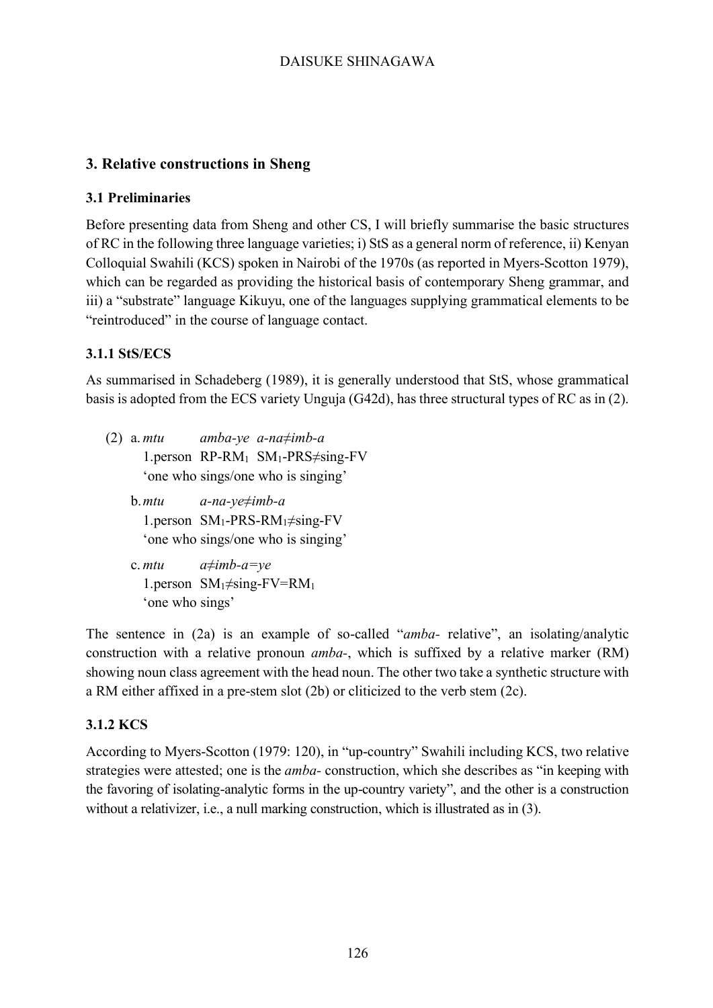# **3. Relative constructions in Sheng**

### **3.1 Preliminaries**

Before presenting data from Sheng and other CS, I will briefly summarise the basic structures of RC in the following three language varieties; i) StS as a general norm of reference, ii) Kenyan Colloquial Swahili (KCS) spoken in Nairobi of the 1970s (as reported in Myers-Scotton 1979), which can be regarded as providing the historical basis of contemporary Sheng grammar, and iii) a "substrate" language Kikuyu, one of the languages supplying grammatical elements to be "reintroduced" in the course of language contact.

# **3.1.1 StS/ECS**

As summarised in Schadeberg (1989), it is generally understood that StS, whose grammatical basis is adopted from the ECS variety Unguja (G42d), has three structural types of RC as in (2).

- (2) a. *mtu amba-ye a-na≠imb-a* 1.person RP-RM1 SM1-PRS≠sing-FV 'one who sings/one who is singing'
	- b.*mtu a-na-ye≠imb-a* 1.person SM1-PRS-RM1≠sing-FV 'one who sings/one who is singing'
	- c. *mtu a≠imb-a=ye* 1.person  $SM_1 \neq sing-FV=RM_1$ 'one who sings'

The sentence in (2a) is an example of so-called "*amba-* relative", an isolating/analytic construction with a relative pronoun *amba-*, which is suffixed by a relative marker (RM) showing noun class agreement with the head noun. The other two take a synthetic structure with a RM either affixed in a pre-stem slot (2b) or cliticized to the verb stem (2c).

### **3.1.2 KCS**

According to Myers-Scotton (1979: 120), in "up-country" Swahili including KCS, two relative strategies were attested; one is the *amba-* construction, which she describes as "in keeping with the favoring of isolating-analytic forms in the up-country variety", and the other is a construction without a relativizer, i.e., a null marking construction, which is illustrated as in (3).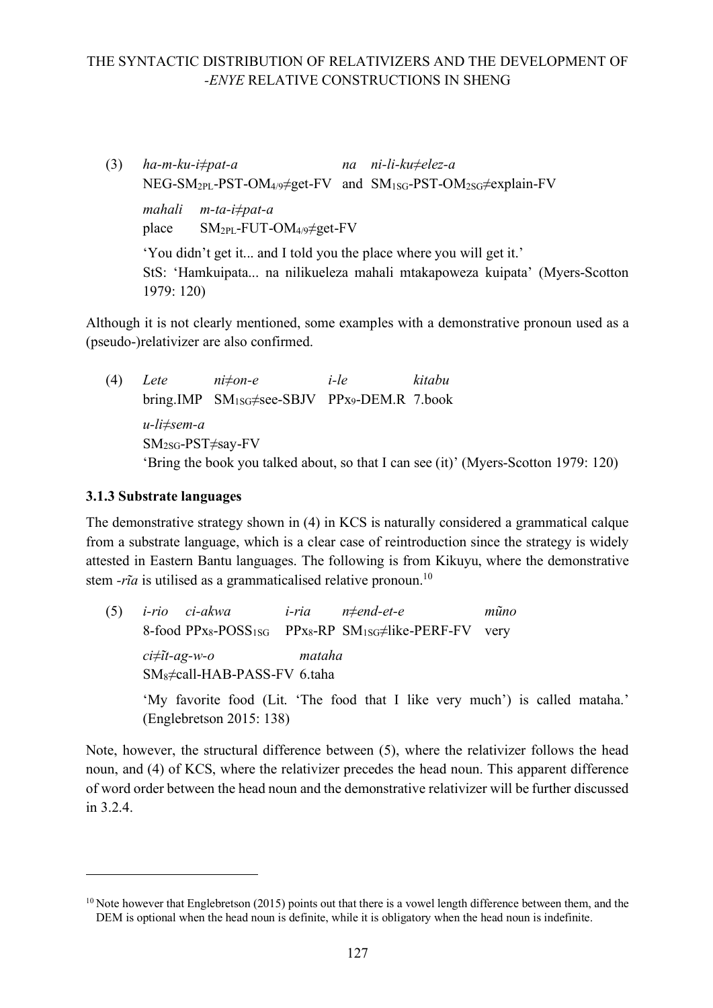(3) *ha-m-ku-i≠pat-a na ni-li-ku≠elez-a* NEG-SM<sub>2PL</sub>-PST-OM<sub>4/9</sub>≠get-FV and SM<sub>1SG</sub>-PST-OM<sub>2SG</sub>≠explain-FV *mahali m-ta-i≠pat-a*  place SM2PL-FUT-OM4/9≠get-FV

'You didn't get it... and I told you the place where you will get it.' StS: 'Hamkuipata... na nilikueleza mahali mtakapoweza kuipata' (Myers-Scotton 1979: 120)

Although it is not clearly mentioned, some examples with a demonstrative pronoun used as a (pseudo-)relativizer are also confirmed.

(4) *Lete ni≠on-e i-le kitabu* bring.IMP SM1SG≠see-SBJV PPx9-DEM.R 7.book *u-li≠sem-a* SM2SG-PST≠say-FV 'Bring the book you talked about, so that I can see (it)' (Myers-Scotton 1979: 120)

### **3.1.3 Substrate languages**

 $\overline{a}$ 

The demonstrative strategy shown in (4) in KCS is naturally considered a grammatical calque from a substrate language, which is a clear case of reintroduction since the strategy is widely attested in Eastern Bantu languages. The following is from Kikuyu, where the demonstrative stem *-rīa* is utilised as a grammaticalised relative pronoun.<sup>10</sup>

(5) *i-rio ci-akwa i-ria n≠end-et-e mũno* 8-food PPx<sub>8</sub>-POSS<sub>1SG</sub> PPx<sub>8</sub>-RP SM<sub>1SG</sub>≠like-PERF-FV very *ci≠ĩt-ag-w-o mataha* SM8≠call-HAB-PASS-FV 6.taha 'My favorite food (Lit. 'The food that I like very much') is called mataha.' (Englebretson 2015: 138)

Note, however, the structural difference between (5), where the relativizer follows the head noun, and (4) of KCS, where the relativizer precedes the head noun. This apparent difference of word order between the head noun and the demonstrative relativizer will be further discussed in 3.2.4.

 $10$  Note however that Englebretson (2015) points out that there is a vowel length difference between them, and the DEM is optional when the head noun is definite, while it is obligatory when the head noun is indefinite.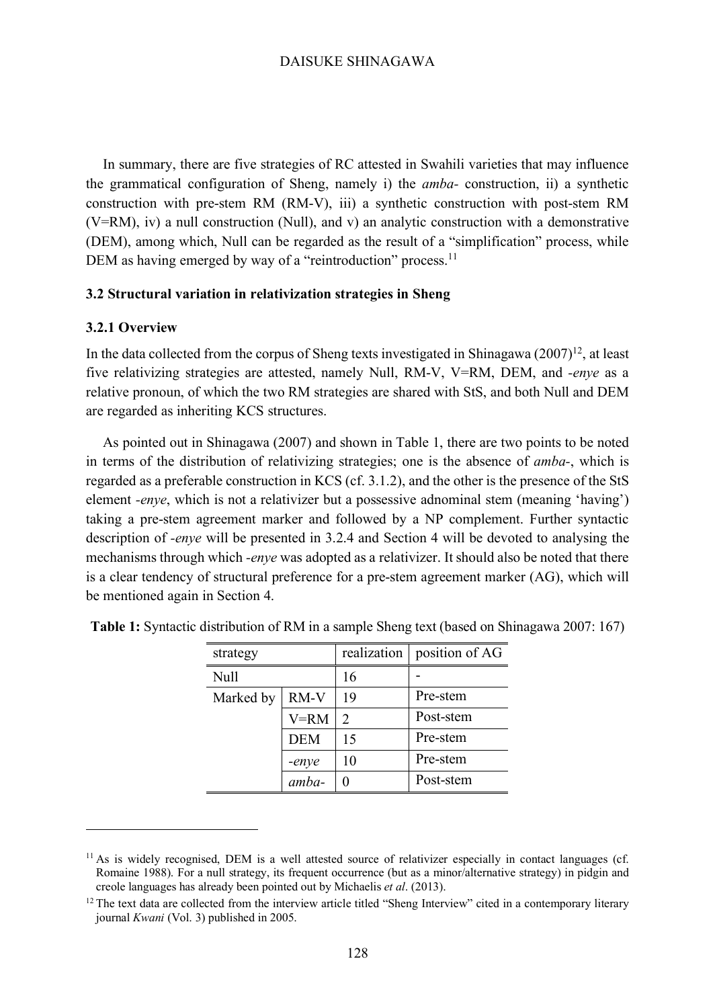In summary, there are five strategies of RC attested in Swahili varieties that may influence the grammatical configuration of Sheng, namely i) the *amba-* construction, ii) a synthetic construction with pre-stem RM (RM-V), iii) a synthetic construction with post-stem RM (V=RM), iv) a null construction (Null), and v) an analytic construction with a demonstrative (DEM), among which, Null can be regarded as the result of a "simplification" process, while DEM as having emerged by way of a "reintroduction" process.<sup>11</sup>

#### **3.2 Structural variation in relativization strategies in Sheng**

#### **3.2.1 Overview**

 $\overline{a}$ 

In the data collected from the corpus of Sheng texts investigated in Shinagawa  $(2007)^{12}$ , at least five relativizing strategies are attested, namely Null, RM-V, V=RM, DEM, and *-enye* as a relative pronoun, of which the two RM strategies are shared with StS, and both Null and DEM are regarded as inheriting KCS structures.

As pointed out in Shinagawa (2007) and shown in Table 1, there are two points to be noted in terms of the distribution of relativizing strategies; one is the absence of *amba-*, which is regarded as a preferable construction in KCS (cf. 3.1.2), and the other is the presence of the StS element *-enye*, which is not a relativizer but a possessive adnominal stem (meaning 'having') taking a pre-stem agreement marker and followed by a NP complement. Further syntactic description of *-enye* will be presented in 3.2.4 and Section 4 will be devoted to analysing the mechanisms through which *-enye* was adopted as a relativizer. It should also be noted that there is a clear tendency of structural preference for a pre-stem agreement marker (AG), which will be mentioned again in Section 4.

| strategy    |            | realization    | position of AG |
|-------------|------------|----------------|----------------|
| <b>Null</b> |            | 16             |                |
| Marked by   | RM-V       | 19             | Pre-stem       |
|             | $V = RM$   | $\mathfrak{D}$ | Post-stem      |
|             | <b>DEM</b> | 15             | Pre-stem       |
|             | -enye      | 10             | Pre-stem       |
|             | amba-      | 0              | Post-stem      |

**Table 1:** Syntactic distribution of RM in a sample Sheng text (based on Shinagawa 2007: 167)

<sup>&</sup>lt;sup>11</sup> As is widely recognised. DEM is a well attested source of relativizer especially in contact languages (cf. Romaine 1988). For a null strategy, its frequent occurrence (but as a minor/alternative strategy) in pidgin and creole languages has already been pointed out by Michaelis *et al*. (2013).

 $12$  The text data are collected from the interview article titled "Sheng Interview" cited in a contemporary literary journal *Kwani* (Vol. 3) published in 2005.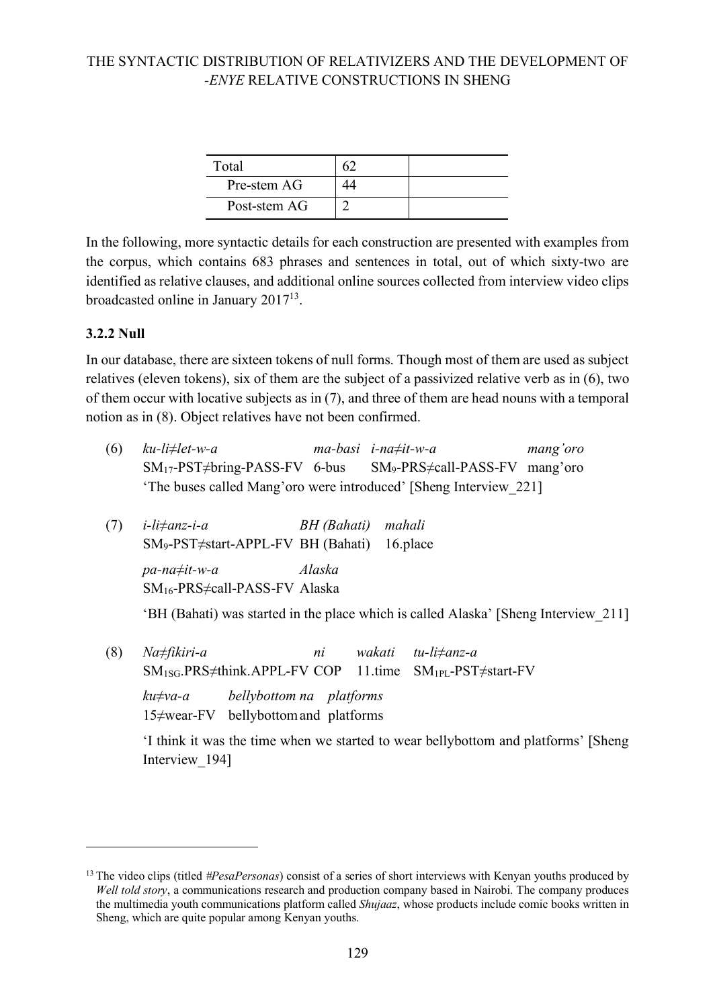| Total        |  |
|--------------|--|
| Pre-stem AG  |  |
| Post-stem AG |  |

In the following, more syntactic details for each construction are presented with examples from the corpus, which contains 683 phrases and sentences in total, out of which sixty-two are identified as relative clauses, and additional online sources collected from interview video clips broadcasted online in January 201713.

### **3.2.2 Null**

 $\overline{a}$ 

In our database, there are sixteen tokens of null forms. Though most of them are used as subject relatives (eleven tokens), six of them are the subject of a passivized relative verb as in (6), two of them occur with locative subjects as in (7), and three of them are head nouns with a temporal notion as in (8). Object relatives have not been confirmed.

| (6) | ku-li≠let-w-a                                                     | $ma-basi$ i-na $\neq$ it-w-a          | mang'oro |
|-----|-------------------------------------------------------------------|---------------------------------------|----------|
|     | $SM_{17}$ -PST $\neq$ bring-PASS-FV 6-bus                         | $SM_9-PRS \neq call-PASS-FV$ mang'oro |          |
|     | 'The buses called Mang'oro were introduced' [Sheng Interview 221] |                                       |          |

(7) *i-li≠anz-i-a BH (Bahati) mahali*  SM9-PST≠start-APPL-FV BH (Bahati) 16.place *pa-na≠it-w-a Alaska* SM16-PRS≠call-PASS-FV Alaska

'BH (Bahati) was started in the place which is called Alaska' [Sheng Interview\_211]

(8) *Na≠fikiri-a ni wakati tu-li≠anz-a* SM1SG.PRS≠think.APPL-FV COP 11.time SM1PL-PST≠start-FV

*ku≠va-a bellybottom na platforms* 15≠wear-FV bellybottomand platforms

'I think it was the time when we started to wear bellybottom and platforms' [Sheng Interview\_194]

<sup>13</sup> The video clips (titled *#PesaPersonas*) consist of a series of short interviews with Kenyan youths produced by *Well told story*, a communications research and production company based in Nairobi. The company produces the multimedia youth communications platform called *Shujaaz*, whose products include comic books written in Sheng, which are quite popular among Kenyan youths.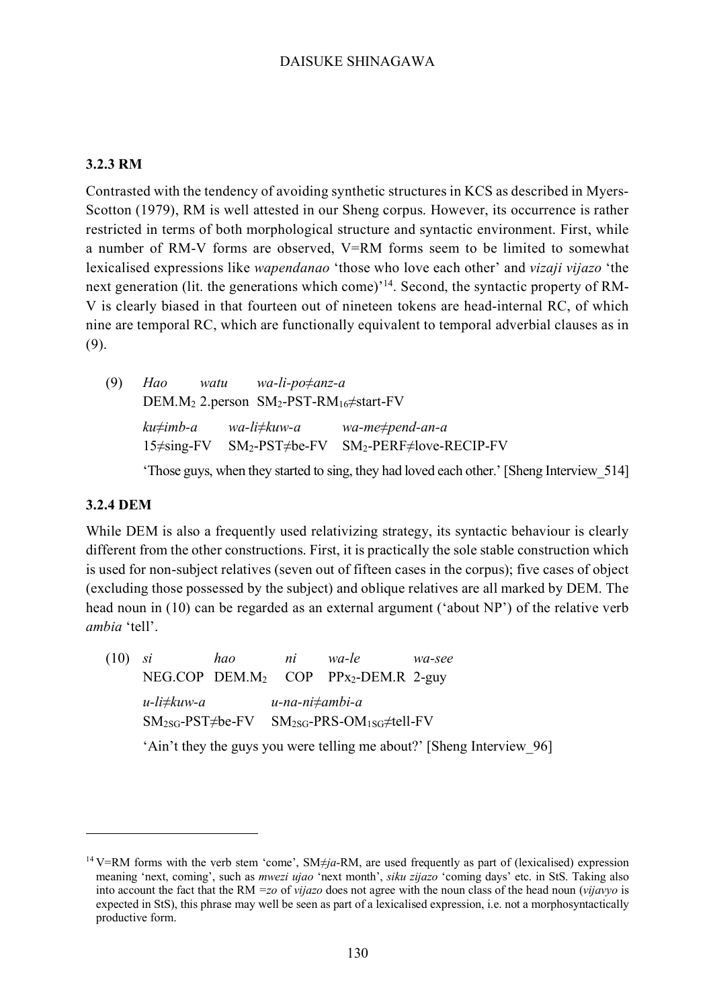#### **3.2.3 RM**

Contrasted with the tendency of avoiding synthetic structures in KCS as described in Myers-Scotton (1979), RM is well attested in our Sheng corpus. However, its occurrence is rather restricted in terms of both morphological structure and syntactic environment. First, while a number of RM-V forms are observed, V=RM forms seem to be limited to somewhat lexicalised expressions like *wapendanao* 'those who love each other' and *vizaji vijazo* 'the next generation (lit. the generations which come)<sup>'14</sup>. Second, the syntactic property of RM-V is clearly biased in that fourteen out of nineteen tokens are head-internal RC, of which nine are temporal RC, which are functionally equivalent to temporal adverbial clauses as in (9).

(9) *Hao watu wa-li-po≠anz-a*  DEM.M2 2.person SM2-PST-RM16≠start-FV *ku≠imb-a wa-li≠kuw-a wa-me≠pend-an-a* 15≠sing-FV SM2-PST≠be-FV SM2-PERF≠love-RECIP-FV

'Those guys, when they started to sing, they had loved each other.' [Sheng Interview\_514]

#### **3.2.4 DEM**

 $\overline{a}$ 

While DEM is also a frequently used relativizing strategy, its syntactic behaviour is clearly different from the other constructions. First, it is practically the sole stable construction which is used for non-subject relatives (seven out of fifteen cases in the corpus); five cases of object (excluding those possessed by the subject) and oblique relatives are all marked by DEM. The head noun in (10) can be regarded as an external argument ('about NP') of the relative verb *ambia* 'tell'.

(10) *si hao ni wa-le wa-see* NEG.COP DEM.M<sub>2</sub> COP PPx<sub>2</sub>-DEM.R 2-guy *u-li≠kuw-a u-na-ni≠ambi-a* SM2SG-PST≠be-FV SM2SG-PRS-OM1SG≠tell-FV

'Ain't they the guys you were telling me about?' [Sheng Interview\_96]

<sup>14</sup> V=RM forms with the verb stem 'come', SM≠*ja*-RM, are used frequently as part of (lexicalised) expression meaning 'next, coming', such as *mwezi ujao* 'next month', *siku zijazo* 'coming days' etc. in StS. Taking also into account the fact that the RM *=zo* of *vijazo* does not agree with the noun class of the head noun (*vijavyo* is expected in StS), this phrase may well be seen as part of a lexicalised expression, i.e. not a morphosyntactically productive form.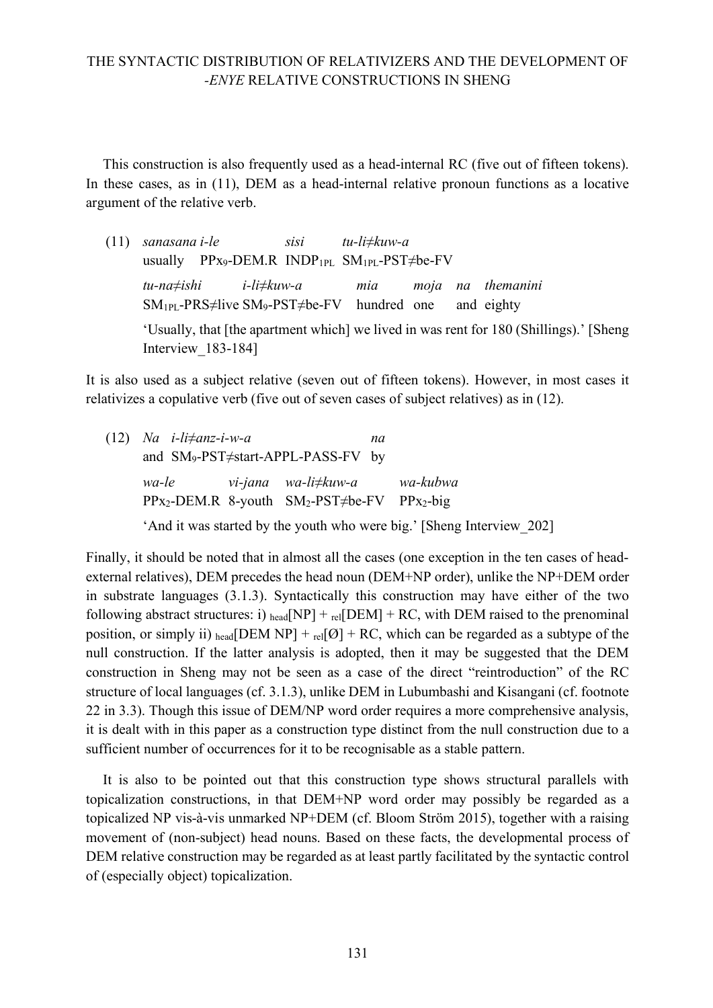This construction is also frequently used as a head-internal RC (five out of fifteen tokens). In these cases, as in (11), DEM as a head-internal relative pronoun functions as a locative argument of the relative verb.

(11) *sanasana i-le sisi tu-li≠kuw-a* usually PPx9-DEM.R INDP1PL SM1PL-PST≠be-FV *tu-na≠ishi i-li≠kuw-a mia moja na themanini*  $SM_{1PL}$ -PRS≠live SM<sub>9</sub>-PST≠be-FV hundred one and eighty 'Usually, that [the apartment which] we lived in was rent for 180 (Shillings).' [Sheng Interview 183-184]

It is also used as a subject relative (seven out of fifteen tokens). However, in most cases it relativizes a copulative verb (five out of seven cases of subject relatives) as in (12).

| $(12)$ Na <i>i</i> -li $\neq$ anz-i-w-a | na                                                     |                                                                       |
|-----------------------------------------|--------------------------------------------------------|-----------------------------------------------------------------------|
|                                         | and $SM_9$ -PST $\neq$ start-APPL-PASS-FV by           |                                                                       |
| wa-le                                   | vi-jana wa-li≠kuw-a   wa-kubwa                         |                                                                       |
|                                         | $PPx_2-DEM.R$ 8-youth $SM_2-PST\neq be-FV$ $PPx_2-big$ |                                                                       |
|                                         |                                                        | 'And it was started by the youth who were big.' [Sheng Interview 202] |

Finally, it should be noted that in almost all the cases (one exception in the ten cases of headexternal relatives), DEM precedes the head noun (DEM+NP order), unlike the NP+DEM order in substrate languages (3.1.3). Syntactically this construction may have either of the two following abstract structures: i) head  $NPI + \text{rel}$  DEM + RC, with DEM raised to the prenominal position, or simply ii) head [DEM NP] + rel[ $\emptyset$ ] + RC, which can be regarded as a subtype of the null construction. If the latter analysis is adopted, then it may be suggested that the DEM construction in Sheng may not be seen as a case of the direct "reintroduction" of the RC structure of local languages (cf. 3.1.3), unlike DEM in Lubumbashi and Kisangani (cf. footnote 22 in 3.3). Though this issue of DEM/NP word order requires a more comprehensive analysis, it is dealt with in this paper as a construction type distinct from the null construction due to a sufficient number of occurrences for it to be recognisable as a stable pattern.

It is also to be pointed out that this construction type shows structural parallels with topicalization constructions, in that DEM+NP word order may possibly be regarded as a topicalized NP vis-à-vis unmarked NP+DEM (cf. Bloom Ström 2015), together with a raising movement of (non-subject) head nouns. Based on these facts, the developmental process of DEM relative construction may be regarded as at least partly facilitated by the syntactic control of (especially object) topicalization.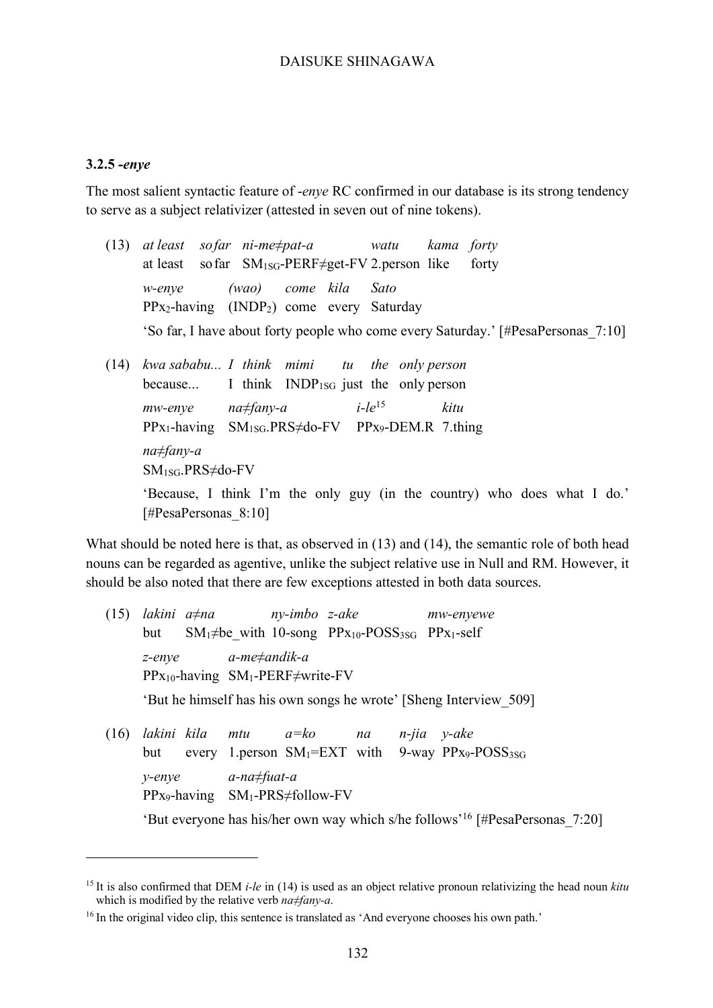#### **3.2.5** *-enye*

 $\overline{a}$ 

The most salient syntactic feature of -*enye* RC confirmed in our database is its strong tendency to serve as a subject relativizer (attested in seven out of nine tokens).

- (13) *at least sofar ni-me≠pat-a watu kama forty* at least so far  $SM_{1SG}$ -PERF $\neq$ get-FV 2.person like forty *w-enye (wao) come kila Sato* PPx2-having (INDP2) come every Saturday 'So far, I have about forty people who come every Saturday.' [#PesaPersonas\_7:10]
- (14) *kwa sababu... I think mimi tu the only person* because... I think INDP<sub>1SG</sub> just the only person *mw-enye na≠fany-a i-le*<sup>15</sup> *kitu* PPx1-having SM1SG.PRS≠do-FV PPx9-DEM.R 7.thing *na≠fany-a* SM1SG.PRS≠do-FV 'Because, I think I'm the only guy (in the country) who does what I do.' [#PesaPersonas\_8:10]

What should be noted here is that, as observed in (13) and (14), the semantic role of both head nouns can be regarded as agentive, unlike the subject relative use in Null and RM. However, it should be also noted that there are few exceptions attested in both data sources.

- (15) *lakini a≠na ny-imbo z-ake mw-enyewe*  but  $SM_1 \neq be$  with 10-song PP<sub>X10</sub>-POSS<sub>3SG</sub> PP<sub>X1</sub>-self *z-enye a-me≠andik-a* PPx10-having SM1-PERF≠write-FV 'But he himself has his own songs he wrote' [Sheng Interview\_509] (16) *lakini kila mtu a=ko na n-jia y-ake*
- but every 1.person  $SM_1=EXT$  with 9-way PP<sub>x9</sub>-POSS<sub>3SG</sub> *y-enye a-na≠fuat-a* PPx9-having SM1-PRS≠follow-FV 'But everyone has his/her own way which s/he follows' <sup>16</sup> [#PesaPersonas\_7:20]

<sup>15</sup> It is also confirmed that DEM *i-le* in (14) is used as an object relative pronoun relativizing the head noun *kitu* which is modified by the relative verb *na≠fany-a*.

<sup>&</sup>lt;sup>16</sup> In the original video clip, this sentence is translated as 'And everyone chooses his own path.'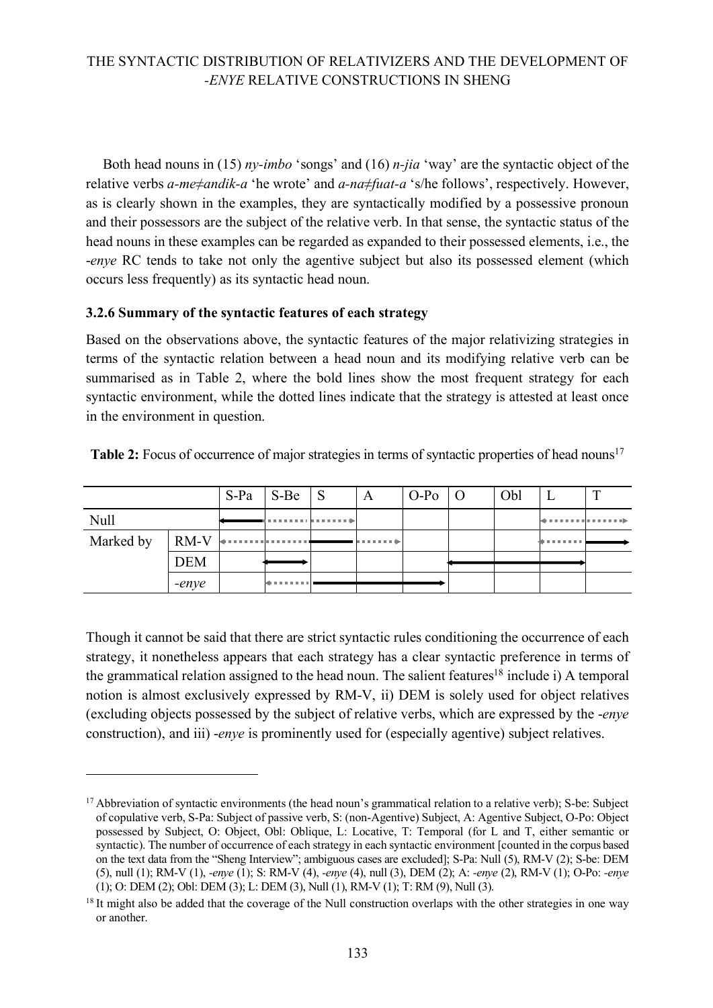Both head nouns in (15) *ny-imbo* 'songs' and (16) *n-jia* 'way' are the syntactic object of the relative verbs *a-me≠andik-a* 'he wrote' and *a-na≠fuat-a* 's/he follows', respectively. However, as is clearly shown in the examples, they are syntactically modified by a possessive pronoun and their possessors are the subject of the relative verb. In that sense, the syntactic status of the head nouns in these examples can be regarded as expanded to their possessed elements, i.e., the -*enye* RC tends to take not only the agentive subject but also its possessed element (which occurs less frequently) as its syntactic head noun.

#### **3.2.6 Summary of the syntactic features of each strategy**

 $\overline{a}$ 

Based on the observations above, the syntactic features of the major relativizing strategies in terms of the syntactic relation between a head noun and its modifying relative verb can be summarised as in Table 2, where the bold lines show the most frequent strategy for each syntactic environment, while the dotted lines indicate that the strategy is attested at least once in the environment in question.

|      |            | $S-Pa$ $S-Be$ $S$ | $\mathbf{A}$ | $O-Po$   O | Obl |                                    | $\mathbf{r}$                 |
|------|------------|-------------------|--------------|------------|-----|------------------------------------|------------------------------|
| Null |            | .                 |              |            |     |                                    | demonstration in a more than |
|      |            |                   |              |            |     | <b><i><u>ALCOHOL: 1999</u></i></b> |                              |
|      | <b>DEM</b> |                   |              |            |     |                                    |                              |
|      | -enye      | .                 |              |            |     |                                    |                              |

Table 2: Focus of occurrence of major strategies in terms of syntactic properties of head nouns<sup>17</sup>

Though it cannot be said that there are strict syntactic rules conditioning the occurrence of each strategy, it nonetheless appears that each strategy has a clear syntactic preference in terms of the grammatical relation assigned to the head noun. The salient features<sup>18</sup> include i) A temporal notion is almost exclusively expressed by RM-V, ii) DEM is solely used for object relatives (excluding objects possessed by the subject of relative verbs, which are expressed by the -*enye* construction), and iii) -*enye* is prominently used for (especially agentive) subject relatives.

<sup>&</sup>lt;sup>17</sup> Abbreviation of syntactic environments (the head noun's grammatical relation to a relative verb); S-be: Subject of copulative verb, S-Pa: Subject of passive verb, S: (non-Agentive) Subject, A: Agentive Subject, O-Po: Object possessed by Subject, O: Object, Obl: Oblique, L: Locative, T: Temporal (for L and T, either semantic or syntactic). The number of occurrence of each strategy in each syntactic environment [counted in the corpus based on the text data from the "Sheng Interview"; ambiguous cases are excluded]; S-Pa: Null (5), RM-V (2); S-be: DEM (5), null (1); RM-V (1), *-enye* (1); S: RM-V (4), *-enye* (4), null (3), DEM (2); A: *-enye* (2), RM-V (1); O-Po: *-enye* (1); O: DEM (2); Obl: DEM (3); L: DEM (3), Null (1), RM-V (1); T: RM (9), Null (3).

<sup>&</sup>lt;sup>18</sup> It might also be added that the coverage of the Null construction overlaps with the other strategies in one way or another.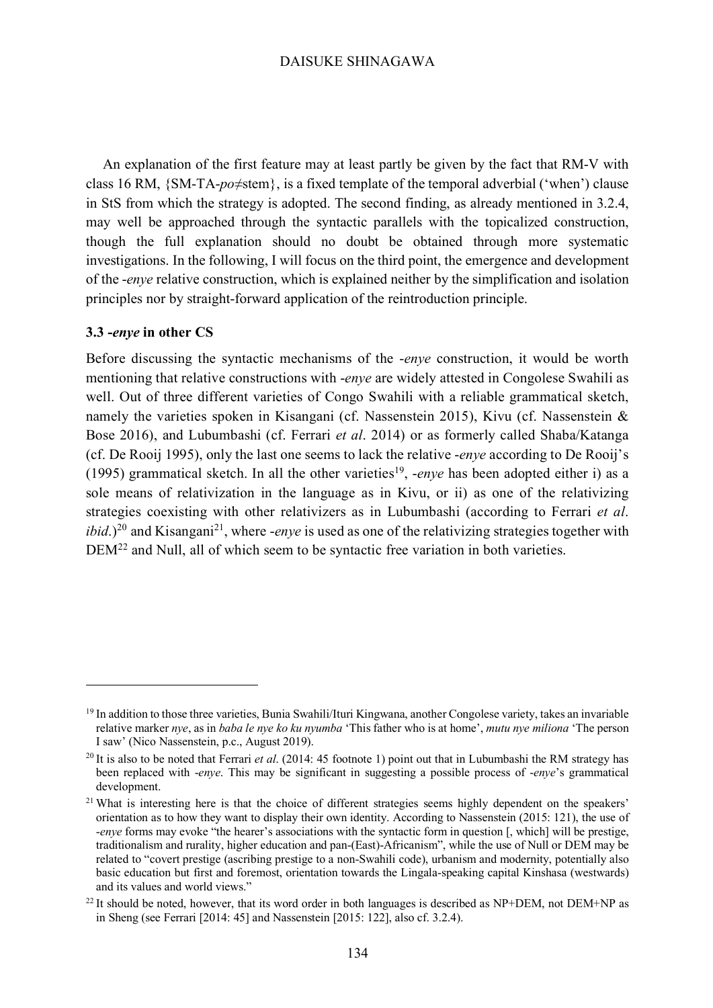An explanation of the first feature may at least partly be given by the fact that RM-V with class 16 RM, {SM-TA-*po*≠stem}, is a fixed template of the temporal adverbial ('when') clause in StS from which the strategy is adopted. The second finding, as already mentioned in 3.2.4, may well be approached through the syntactic parallels with the topicalized construction, though the full explanation should no doubt be obtained through more systematic investigations. In the following, I will focus on the third point, the emergence and development of the -*enye* relative construction, which is explained neither by the simplification and isolation principles nor by straight-forward application of the reintroduction principle.

#### **3.3 -***enye* **in other CS**

 $\overline{a}$ 

Before discussing the syntactic mechanisms of the -*enye* construction, it would be worth mentioning that relative constructions with -*enye* are widely attested in Congolese Swahili as well. Out of three different varieties of Congo Swahili with a reliable grammatical sketch, namely the varieties spoken in Kisangani (cf. Nassenstein 2015), Kivu (cf. Nassenstein & Bose 2016), and Lubumbashi (cf. Ferrari *et al*. 2014) or as formerly called Shaba/Katanga (cf. De Rooij 1995), only the last one seems to lack the relative -*enye* according to De Rooij's (1995) grammatical sketch. In all the other varieties<sup>19</sup>, *-enye* has been adopted either i) as a sole means of relativization in the language as in Kivu, or ii) as one of the relativizing strategies coexisting with other relativizers as in Lubumbashi (according to Ferrari *et al*.  $ibid$ .)<sup>20</sup> and Kisangani<sup>21</sup>, where *-enye* is used as one of the relativizing strategies together with DEM<sup>22</sup> and Null, all of which seem to be syntactic free variation in both varieties.

<sup>&</sup>lt;sup>19</sup> In addition to those three varieties, Bunia Swahili/Ituri Kingwana, another Congolese variety, takes an invariable relative marker *nye*, as in *baba le nye ko ku nyumba* 'This father who is at home', *mutu nye miliona* 'The person I saw' (Nico Nassenstein, p.c., August 2019).

<sup>&</sup>lt;sup>20</sup> It is also to be noted that Ferrari *et al.* (2014: 45 footnote 1) point out that in Lubumbashi the RM strategy has been replaced with -*enye*. This may be significant in suggesting a possible process of -*enye*'s grammatical development.

<sup>&</sup>lt;sup>21</sup> What is interesting here is that the choice of different strategies seems highly dependent on the speakers' orientation as to how they want to display their own identity. According to Nassenstein (2015: 121), the use of -*enye* forms may evoke "the hearer's associations with the syntactic form in question [, which] will be prestige, traditionalism and rurality, higher education and pan-(East)-Africanism", while the use of Null or DEM may be related to "covert prestige (ascribing prestige to a non-Swahili code), urbanism and modernity, potentially also basic education but first and foremost, orientation towards the Lingala-speaking capital Kinshasa (westwards) and its values and world views."

 $^{22}$  It should be noted, however, that its word order in both languages is described as NP+DEM, not DEM+NP as in Sheng (see Ferrari [2014: 45] and Nassenstein [2015: 122], also cf. 3.2.4).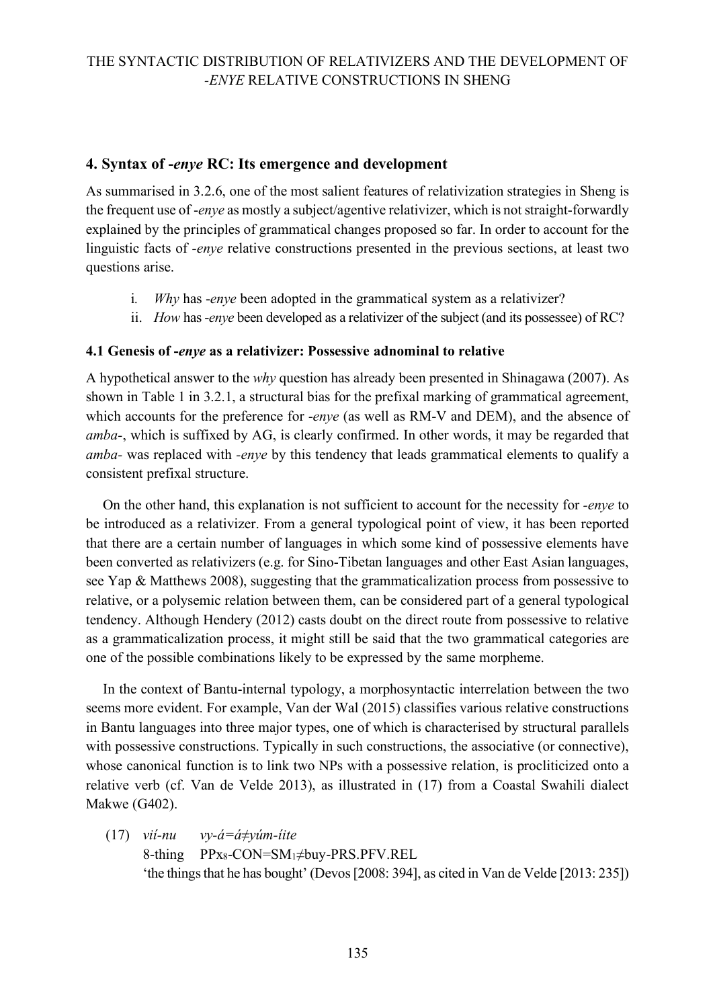### **4. Syntax of -***enye* **RC: Its emergence and development**

As summarised in 3.2.6, one of the most salient features of relativization strategies in Sheng is the frequent use of -*enye* as mostly a subject/agentive relativizer, which is not straight-forwardly explained by the principles of grammatical changes proposed so far. In order to account for the linguistic facts of *-enye* relative constructions presented in the previous sections, at least two questions arise.

- i*. Why* has -*enye* been adopted in the grammatical system as a relativizer?
- ii. *How* has-*enye* been developed as a relativizer of the subject (and its possessee) of RC?

### **4.1 Genesis of -***enye* **as a relativizer: Possessive adnominal to relative**

A hypothetical answer to the *why* question has already been presented in Shinagawa (2007). As shown in Table 1 in 3.2.1, a structural bias for the prefixal marking of grammatical agreement, which accounts for the preference for -*enye* (as well as RM-V and DEM), and the absence of *amba-*, which is suffixed by AG, is clearly confirmed. In other words, it may be regarded that *amba-* was replaced with *-enye* by this tendency that leads grammatical elements to qualify a consistent prefixal structure.

On the other hand, this explanation is not sufficient to account for the necessity for *-enye* to be introduced as a relativizer. From a general typological point of view, it has been reported that there are a certain number of languages in which some kind of possessive elements have been converted as relativizers (e.g. for Sino-Tibetan languages and other East Asian languages, see Yap & Matthews 2008), suggesting that the grammaticalization process from possessive to relative, or a polysemic relation between them, can be considered part of a general typological tendency. Although Hendery (2012) casts doubt on the direct route from possessive to relative as a grammaticalization process, it might still be said that the two grammatical categories are one of the possible combinations likely to be expressed by the same morpheme.

In the context of Bantu-internal typology, a morphosyntactic interrelation between the two seems more evident. For example, Van der Wal (2015) classifies various relative constructions in Bantu languages into three major types, one of which is characterised by structural parallels with possessive constructions. Typically in such constructions, the associative (or connective), whose canonical function is to link two NPs with a possessive relation, is procliticized onto a relative verb (cf. Van de Velde 2013), as illustrated in (17) from a Coastal Swahili dialect Makwe (G402).

(17) *vií-nu vy-á=á≠yúm-íite* 8-thing PPx8-CON=SM1≠buy-PRS.PFV.REL 'the things that he has bought' (Devos [2008: 394], as cited in Van de Velde [2013: 235])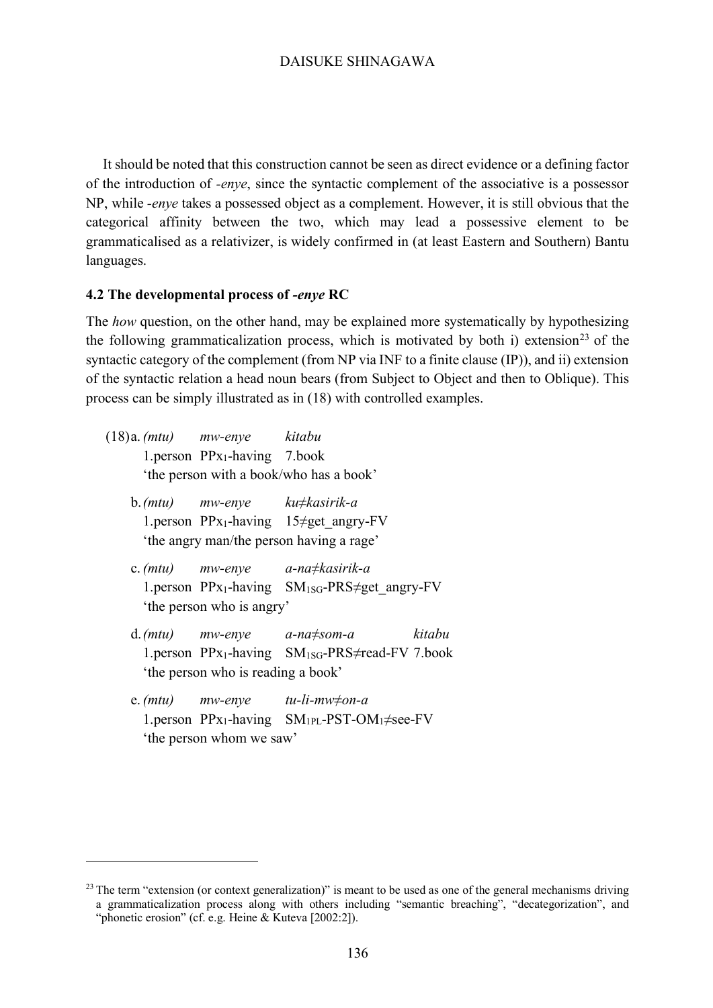It should be noted that this construction cannot be seen as direct evidence or a defining factor of the introduction of *-enye*, since the syntactic complement of the associative is a possessor NP, while *-enye* takes a possessed object as a complement. However, it is still obvious that the categorical affinity between the two, which may lead a possessive element to be grammaticalised as a relativizer, is widely confirmed in (at least Eastern and Southern) Bantu languages.

#### **4.2 The developmental process of** *-enye* **RC**

The *how* question, on the other hand, may be explained more systematically by hypothesizing the following grammaticalization process, which is motivated by both i) extension<sup>23</sup> of the syntactic category of the complement (from NP via INF to a finite clause (IP)), and ii) extension of the syntactic relation a head noun bears (from Subject to Object and then to Oblique). This process can be simply illustrated as in (18) with controlled examples.

- (18)a.*(mtu) mw-enye kitabu* 1.person PPx1-having 7.book 'the person with a book/who has a book'
	- b.*(mtu) mw-enye ku≠kasirik-a* 1.person PP<sub>x1</sub>-having 15 $\neq$ get angry-FV 'the angry man/the person having a rage'
	- c.*(mtu) mw-enye a-na≠kasirik-a* 1.person PP<sub>X1</sub>-having  $SM_{1SG}$ -PRS $\neq$ get angry-FV 'the person who is angry'
	- d.*(mtu) mw-enye a-na≠som-a kitabu* 1.person PPx1-having SM1SG-PRS≠read-FV 7.book 'the person who is reading a book'
	- e.*(mtu) mw-enye tu-li-mw≠on-a* 1.person PPx1-having SM1PL-PST-OM1≠see-FV 'the person whom we saw'

 $\overline{a}$ 

 $23$  The term "extension (or context generalization)" is meant to be used as one of the general mechanisms driving a grammaticalization process along with others including "semantic breaching", "decategorization", and "phonetic erosion" (cf. e.g. Heine & Kuteva [2002:2]).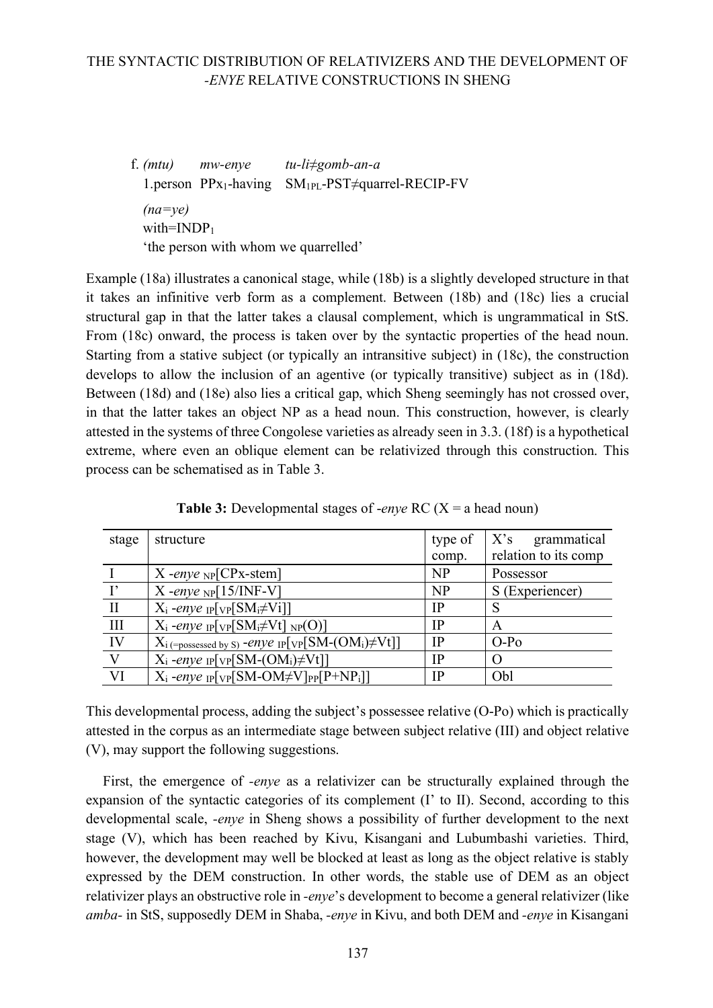f. *(mtu) mw-enye tu-li≠gomb-an-a* 1.person PPx1-having SM1PL-PST≠quarrel-RECIP-FV *(na=ye)* with= $INDP<sub>1</sub>$ 'the person with whom we quarrelled'

Example (18a) illustrates a canonical stage, while (18b) is a slightly developed structure in that it takes an infinitive verb form as a complement. Between (18b) and (18c) lies a crucial structural gap in that the latter takes a clausal complement, which is ungrammatical in StS. From (18c) onward, the process is taken over by the syntactic properties of the head noun. Starting from a stative subject (or typically an intransitive subject) in (18c), the construction develops to allow the inclusion of an agentive (or typically transitive) subject as in (18d). Between (18d) and (18e) also lies a critical gap, which Sheng seemingly has not crossed over, in that the latter takes an object NP as a head noun. This construction, however, is clearly attested in the systems of three Congolese varieties as already seen in 3.3. (18f) is a hypothetical extreme, where even an oblique element can be relativized through this construction. This process can be schematised as in Table 3.

| stage         | structure                                                                                      | type of   | $X$ 's<br>grammatical |
|---------------|------------------------------------------------------------------------------------------------|-----------|-----------------------|
|               |                                                                                                | comp.     | relation to its comp  |
|               | $X$ -enye NP $[CPx$ -stem]                                                                     | NP        | Possessor             |
| $\mathbf{I}'$ | X-enye $_{\rm NP}$ [15/INF-V]                                                                  | <b>NP</b> | S (Experiencer)       |
| $\mathbf{I}$  | $X_i$ -enye <sub>IP</sub> [ <sub>VP</sub> [SM <sub>i</sub> $\neq$ Vi]]                         | <b>IP</b> | S                     |
| $\mathbf{H}$  | $X_i$ -enye <sub>IP</sub> [ <sub>VP</sub> [SM <sub>i</sub> $\neq$ Vt] <sub>NP</sub> (O)]       | <b>IP</b> | A                     |
| IV            | $X_i$ (=possessed by S) - <i>enye</i> IP[VP[SM-(OM <sub>i</sub> ) $\neq$ Vt]]                  | <b>IP</b> | $O-Po$                |
|               | $X_i$ -enye <sub>IP</sub> [v <sub>P</sub> [SM-(OM <sub>i</sub> ) $\neq$ Vt]]                   | IP        | $\Omega$              |
| VI            | $X_i$ -enye <sub>IP</sub> [ <sub>VP</sub> [SM-OM $\neq$ V] <sub>PP</sub> [P+NP <sub>i</sub> ]] | IP        | Obl                   |

**Table 3:** Developmental stages of -*enye* RC (X = a head noun)

This developmental process, adding the subject's possessee relative (O-Po) which is practically attested in the corpus as an intermediate stage between subject relative (III) and object relative (V), may support the following suggestions.

First, the emergence of *-enye* as a relativizer can be structurally explained through the expansion of the syntactic categories of its complement (I' to II). Second, according to this developmental scale, *-enye* in Sheng shows a possibility of further development to the next stage (V), which has been reached by Kivu, Kisangani and Lubumbashi varieties. Third, however, the development may well be blocked at least as long as the object relative is stably expressed by the DEM construction. In other words, the stable use of DEM as an object relativizer plays an obstructive role in *-enye*'s development to become a general relativizer (like *amba-* in StS, supposedly DEM in Shaba, *-enye* in Kivu, and both DEM and *-enye* in Kisangani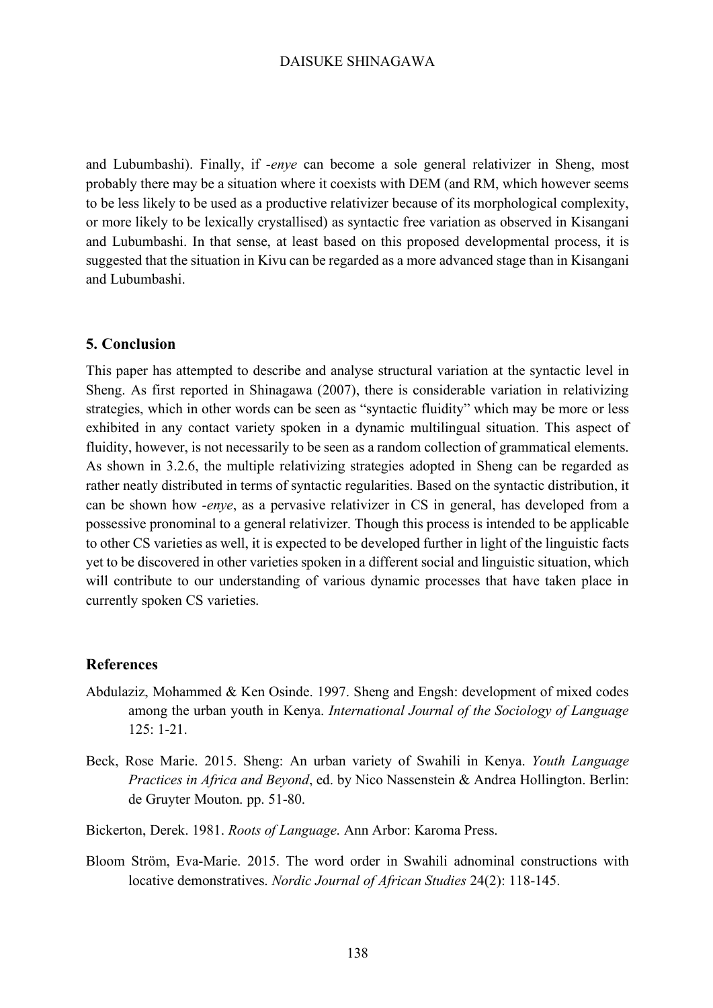and Lubumbashi). Finally, if *-enye* can become a sole general relativizer in Sheng, most probably there may be a situation where it coexists with DEM (and RM, which however seems to be less likely to be used as a productive relativizer because of its morphological complexity, or more likely to be lexically crystallised) as syntactic free variation as observed in Kisangani and Lubumbashi. In that sense, at least based on this proposed developmental process, it is suggested that the situation in Kivu can be regarded as a more advanced stage than in Kisangani and Lubumbashi.

### **5. Conclusion**

This paper has attempted to describe and analyse structural variation at the syntactic level in Sheng. As first reported in Shinagawa (2007), there is considerable variation in relativizing strategies, which in other words can be seen as "syntactic fluidity" which may be more or less exhibited in any contact variety spoken in a dynamic multilingual situation. This aspect of fluidity, however, is not necessarily to be seen as a random collection of grammatical elements. As shown in 3.2.6, the multiple relativizing strategies adopted in Sheng can be regarded as rather neatly distributed in terms of syntactic regularities. Based on the syntactic distribution, it can be shown how *-enye*, as a pervasive relativizer in CS in general, has developed from a possessive pronominal to a general relativizer. Though this process is intended to be applicable to other CS varieties as well, it is expected to be developed further in light of the linguistic facts yet to be discovered in other varieties spoken in a different social and linguistic situation, which will contribute to our understanding of various dynamic processes that have taken place in currently spoken CS varieties.

### **References**

- Abdulaziz, Mohammed & Ken Osinde. 1997. Sheng and Engsh: development of mixed codes among the urban youth in Kenya. *International Journal of the Sociology of Language*  125: 1-21.
- Beck, Rose Marie. 2015. Sheng: An urban variety of Swahili in Kenya. *Youth Language Practices in Africa and Beyond*, ed. by Nico Nassenstein & Andrea Hollington. Berlin: de Gruyter Mouton. pp. 51-80.
- Bickerton, Derek. 1981. *Roots of Language*. Ann Arbor: Karoma Press.
- Bloom Ström, Eva-Marie. 2015. The word order in Swahili adnominal constructions with locative demonstratives. *Nordic Journal of African Studies* 24(2): 118-145.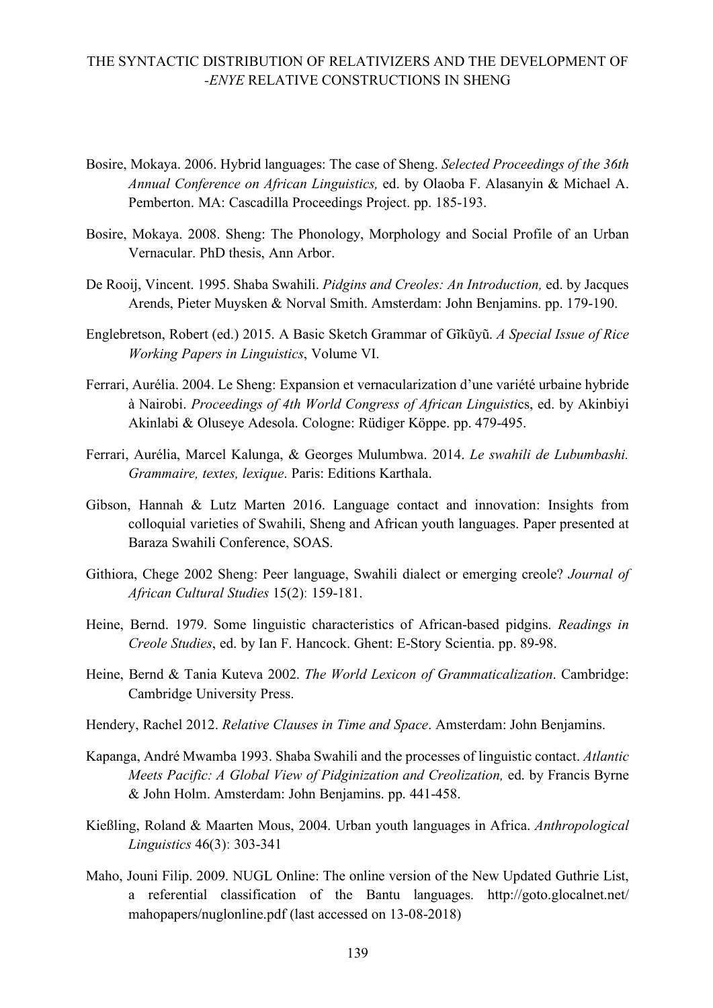- Bosire, Mokaya. 2006. Hybrid languages: The case of Sheng. *Selected Proceedings of the 36th Annual Conference on African Linguistics,* ed. by Olaoba F. Alasanyin & Michael A. Pemberton. MA: Cascadilla Proceedings Project. pp. 185-193.
- Bosire, Mokaya. 2008. Sheng: The Phonology, Morphology and Social Profile of an Urban Vernacular. PhD thesis, Ann Arbor.
- De Rooij, Vincent. 1995. Shaba Swahili. *Pidgins and Creoles: An Introduction,* ed. by Jacques Arends, Pieter Muysken & Norval Smith. Amsterdam: John Benjamins. pp. 179-190.
- Englebretson, Robert (ed.) 2015. A Basic Sketch Grammar of Gĩkũyũ. *A Special Issue of Rice Working Papers in Linguistics*, Volume VI.
- Ferrari, Aurélia. 2004. Le Sheng: Expansion et vernacularization d'une variété urbaine hybride à Nairobi. *Proceedings of 4th World Congress of African Linguisti*cs, ed. by Akinbiyi Akinlabi & Oluseye Adesola. Cologne: Rüdiger Köppe. pp. 479-495.
- Ferrari, Aurélia, Marcel Kalunga, & Georges Mulumbwa. 2014. *Le swahili de Lubumbashi. Grammaire, textes, lexique*. Paris: Editions Karthala.
- Gibson, Hannah & Lutz Marten 2016. Language contact and innovation: Insights from colloquial varieties of Swahili, Sheng and African youth languages. Paper presented at Baraza Swahili Conference, SOAS.
- Githiora, Chege 2002 Sheng: Peer language, Swahili dialect or emerging creole? *Journal of African Cultural Studies* 15(2)ː 159-181.
- Heine, Bernd. 1979. Some linguistic characteristics of African-based pidgins. *Readings in Creole Studies*, ed. by Ian F. Hancock. Ghent: E-Story Scientia. pp. 89-98.
- Heine, Bernd & Tania Kuteva 2002. *The World Lexicon of Grammaticalization*. Cambridge: Cambridge University Press.
- Hendery, Rachel 2012. *Relative Clauses in Time and Space*. Amsterdam: John Benjamins.
- Kapanga, André Mwamba 1993. Shaba Swahili and the processes of linguistic contact. *Atlantic Meets Pacific: A Global View of Pidginization and Creolization,* ed. by Francis Byrne & John Holm. Amsterdam: John Benjamins. pp. 441-458.
- Kießling, Roland & Maarten Mous, 2004. Urban youth languages in Africa. *Anthropological Linguistics* 46(3)ː 303-341
- Maho, Jouni Filip. 2009. NUGL Online: The online version of the New Updated Guthrie List, a referential classification of the Bantu languages. http://goto.glocalnet.net/ mahopapers/nuglonline.pdf (last accessed on 13-08-2018)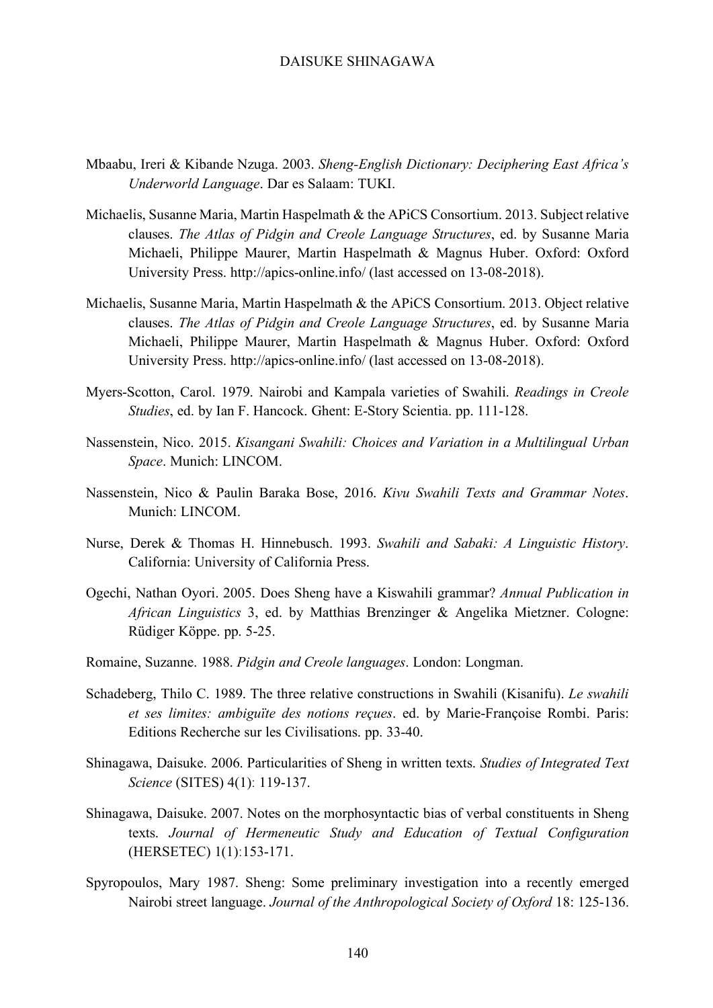- Mbaabu, Ireri & Kibande Nzuga. 2003. *Sheng-English Dictionary: Deciphering East Africa's Underworld Language*. Dar es Salaam: TUKI.
- Michaelis, Susanne Maria, Martin Haspelmath & the APiCS Consortium. 2013. Subject relative clauses. *The Atlas of Pidgin and Creole Language Structures*, ed. by Susanne Maria Michaeli, Philippe Maurer, Martin Haspelmath & Magnus Huber. Oxford: Oxford University Press. http://apics-online.info/ (last accessed on 13-08-2018).
- Michaelis, Susanne Maria, Martin Haspelmath & the APiCS Consortium. 2013. Object relative clauses. *The Atlas of Pidgin and Creole Language Structures*, ed. by Susanne Maria Michaeli, Philippe Maurer, Martin Haspelmath & Magnus Huber. Oxford: Oxford University Press. http://apics-online.info/ (last accessed on 13-08-2018).
- Myers-Scotton, Carol. 1979. Nairobi and Kampala varieties of Swahili. *Readings in Creole Studies*, ed. by Ian F. Hancock. Ghent: E-Story Scientia. pp. 111-128.
- Nassenstein, Nico. 2015. *Kisangani Swahili: Choices and Variation in a Multilingual Urban Space*. Munich: LINCOM.
- Nassenstein, Nico & Paulin Baraka Bose, 2016. *Kivu Swahili Texts and Grammar Notes*. Munich: LINCOM.
- Nurse, Derek & Thomas H. Hinnebusch. 1993. *Swahili and Sabaki: A Linguistic History*. California: University of California Press.
- Ogechi, Nathan Oyori. 2005. Does Sheng have a Kiswahili grammar? *Annual Publication in African Linguistics* 3, ed. by Matthias Brenzinger & Angelika Mietzner. Cologne: Rüdiger Köppe. pp. 5-25.
- Romaine, Suzanne. 1988. *Pidgin and Creole languages*. London: Longman.
- Schadeberg, Thilo C. 1989. The three relative constructions in Swahili (Kisanifu). *Le swahili et ses limites: ambiguïte des notions reçues*. ed. by Marie-Françoise Rombi. Paris: Editions Recherche sur les Civilisations. pp. 33-40.
- Shinagawa, Daisuke. 2006. Particularities of Sheng in written texts. *Studies of Integrated Text Science* (SITES) 4(1)ː 119-137.
- Shinagawa, Daisuke. 2007. Notes on the morphosyntactic bias of verbal constituents in Sheng texts. *Journal of Hermeneutic Study and Education of Textual Configuration*  (HERSETEC) 1(1)ː153-171.
- Spyropoulos, Mary 1987. Sheng: Some preliminary investigation into a recently emerged Nairobi street language. *Journal of the Anthropological Society of Oxford* 18: 125-136.